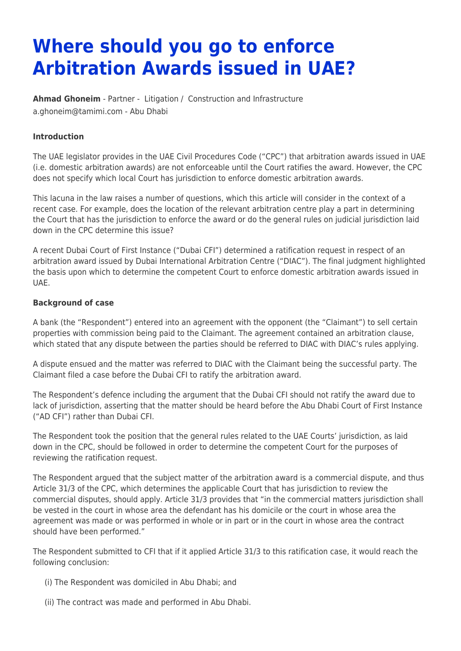# **Where should you go to enforce Arbitration Awards issued in UAE?**

**[Ahmad Ghoneim](https://www.tamimi.com/find-a-lawyer/ahmad-ghoneim/)** - Partner - [Litigation](https://www.tamimi.com/client-services/practices/litigation/) / [Construction and Infrastructure](https://www.tamimi.com/client-services/practices/construction-infrastructure/) [a.ghoneim@tamimi.com](mailto:a.ghoneim@tamimi.com) - [Abu Dhabi](https://www.tamimi.com/locations/uae/)

### **Introduction**

The UAE legislator provides in the UAE Civil Procedures Code ("CPC") that arbitration awards issued in UAE (i.e. domestic arbitration awards) are not enforceable until the Court ratifies the award. However, the CPC does not specify which local Court has jurisdiction to enforce domestic arbitration awards.

This lacuna in the law raises a number of questions, which this article will consider in the context of a recent case. For example, does the location of the relevant arbitration centre play a part in determining the Court that has the jurisdiction to enforce the award or do the general rules on judicial jurisdiction laid down in the CPC determine this issue?

A recent Dubai Court of First Instance ("Dubai CFI") determined a ratification request in respect of an arbitration award issued by Dubai International Arbitration Centre ("DIAC"). The final judgment highlighted the basis upon which to determine the competent Court to enforce domestic arbitration awards issued in UAE.

#### **Background of case**

A bank (the "Respondent") entered into an agreement with the opponent (the "Claimant") to sell certain properties with commission being paid to the Claimant. The agreement contained an arbitration clause, which stated that any dispute between the parties should be referred to DIAC with DIAC's rules applying.

A dispute ensued and the matter was referred to DIAC with the Claimant being the successful party. The Claimant filed a case before the Dubai CFI to ratify the arbitration award.

The Respondent's defence including the argument that the Dubai CFI should not ratify the award due to lack of jurisdiction, asserting that the matter should be heard before the Abu Dhabi Court of First Instance ("AD CFI") rather than Dubai CFI.

The Respondent took the position that the general rules related to the UAE Courts' jurisdiction, as laid down in the CPC, should be followed in order to determine the competent Court for the purposes of reviewing the ratification request.

The Respondent argued that the subject matter of the arbitration award is a commercial dispute, and thus Article 31/3 of the CPC, which determines the applicable Court that has jurisdiction to review the commercial disputes, should apply. Article 31/3 provides that "in the commercial matters jurisdiction shall be vested in the court in whose area the defendant has his domicile or the court in whose area the agreement was made or was performed in whole or in part or in the court in whose area the contract should have been performed."

The Respondent submitted to CFI that if it applied Article 31/3 to this ratification case, it would reach the following conclusion:

- (i) The Respondent was domiciled in Abu Dhabi; and
- (ii) The contract was made and performed in Abu Dhabi.